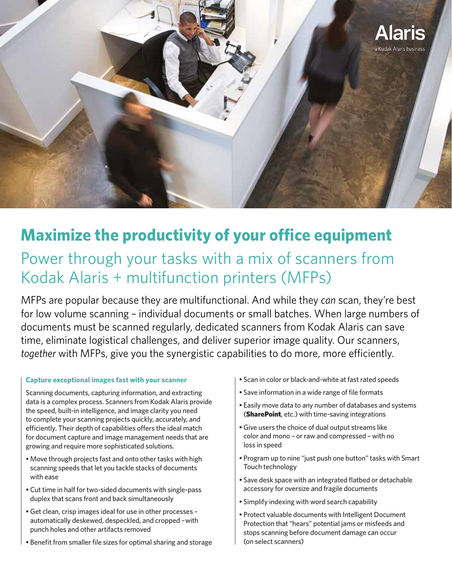

# **Maximize the productivity of your office equipment**

# Power through your tasks with a mix of scanners from Kodak Alaris + multifunction printers (MFPs)

MFPs are popular because they are multifunctional. And while they *can* scan, they're best for low volume scanning – individual documents or small batches. When large numbers of documents must be scanned regularly, dedicated scanners from Kodak Alaris can save time, eliminate logistical challenges, and deliver superior image quality. Our scanners, *together* with MFPs, give you the synergistic capabilities to do more, more efficiently.

### **Capture exceptional images fast with your scanner**

Scanning documents, capturing information, and extracting data is a complex process. Scanners from Kodak Alaris provide the speed, built-in intelligence, and image clarity you need to complete your scanning projects quickly, accurately, and efficiently. Their depth of capabilities offers the ideal match for document capture and image management needs that are growing and require more sophisticated solutions.

- Move through projects fast and onto other tasks with high scanning speeds that let you tackle stacks of documents with ease
- Cut time in half for two-sided documents with single-pass duplex that scans front and back simultaneously
- Get clean, crisp images ideal for use in other processes automatically deskewed, despeckled, and cropped – with punch holes and other artifacts removed
- Benefit from smaller file sizes for optimal sharing and storage
- Scan in color or black-and-white at fast rated speeds
- Save information in a wide range of file formats
- Easily move data to any number of databases and systems (SharePoint, etc.) with time-saving integrations
- Give users the choice of dual output streams like color and mono – or raw and compressed – with no loss in speed
- Program up to nine "just push one button" tasks with Smart Touch technology
- Save desk space with an integrated flatbed or detachable accessory for oversize and fragile documents
- Simplify indexing with word search capability
- Protect valuable documents with Intelligent Document Protection that "hears" potential jams or misfeeds and stops scanning before document damage can occur (on select scanners)